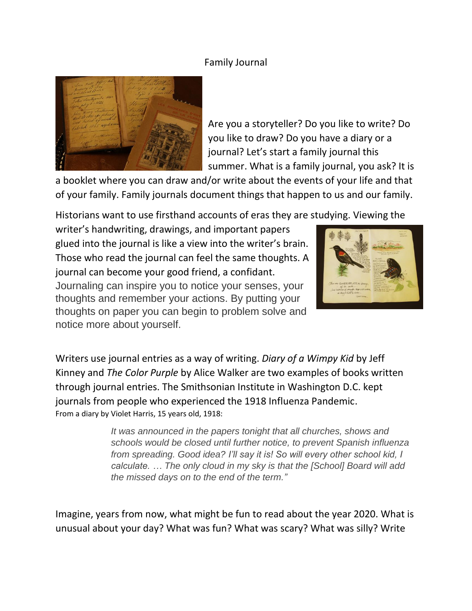## Family Journal



Are you a storyteller? Do you like to write? Do you like to draw? Do you have a diary or a journal? Let's start a family journal this summer. What is a family journal, you ask? It is

a booklet where you can draw and/or write about the events of your life and that of your family. Family journals document things that happen to us and our family.

Historians want to use firsthand accounts of eras they are studying. Viewing the

writer's handwriting, drawings, and important papers glued into the journal is like a view into the writer's brain. Those who read the journal can feel the same thoughts. A journal can become your good friend, a confidant. Journaling can inspire you to notice your senses, your thoughts and remember your actions. By putting your thoughts on paper you can begin to problem solve and notice more about yourself.



Writers use journal entries as a way of writing. *Diary of a Wimpy Kid* by Jeff Kinney and *The Color Purple* by Alice Walker are two examples of books written through journal entries. The Smithsonian Institute in Washington D.C. kept journals from people who experienced the 1918 Influenza Pandemic. From a diary by Violet Harris, 15 years old, 1918:

> *It was announced in the papers tonight that all churches, shows and schools would be closed until further notice, to prevent Spanish influenza from spreading. Good idea? I'll say it is! So will every other school kid, I calculate. … The only cloud in my sky is that the [School] Board will add the missed days on to the end of the term."*

Imagine, years from now, what might be fun to read about the year 2020. What is unusual about your day? What was fun? What was scary? What was silly? Write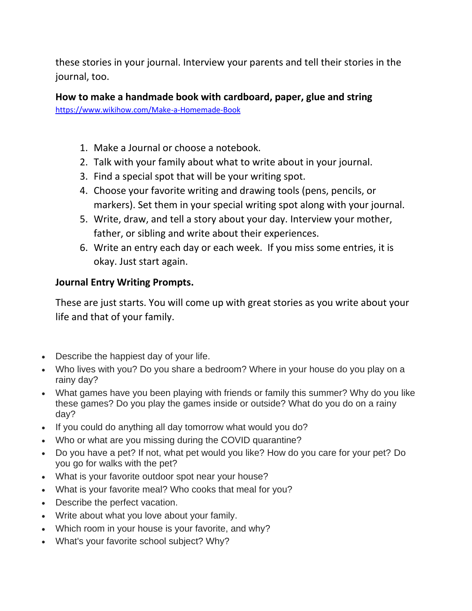these stories in your journal. Interview your parents and tell their stories in the journal, too.

**How to make a handmade book with cardboard, paper, glue and string**  <https://www.wikihow.com/Make-a-Homemade-Book>

- 1. Make a Journal or choose a notebook.
- 2. Talk with your family about what to write about in your journal.
- 3. Find a special spot that will be your writing spot.
- 4. Choose your favorite writing and drawing tools (pens, pencils, or markers). Set them in your special writing spot along with your journal.
- 5. Write, draw, and tell a story about your day. Interview your mother, father, or sibling and write about their experiences.
- 6. Write an entry each day or each week. If you miss some entries, it is okay. Just start again.

## **Journal Entry Writing Prompts.**

These are just starts. You will come up with great stories as you write about your life and that of your family.

- Describe the happiest day of your life.
- Who lives with you? Do you share a bedroom? Where in your house do you play on a rainy day?
- What games have you been playing with friends or family this summer? Why do you like these games? Do you play the games inside or outside? What do you do on a rainy day?
- If you could do anything all day tomorrow what would you do?
- Who or what are you missing during the COVID quarantine?
- Do you have a pet? If not, what pet would you like? How do you care for your pet? Do you go for walks with the pet?
- What is your favorite outdoor spot near your house?
- What is your favorite meal? Who cooks that meal for you?
- Describe the perfect vacation.
- Write about what you love about your family.
- Which room in your house is your favorite, and why?
- What's your favorite school subject? Why?